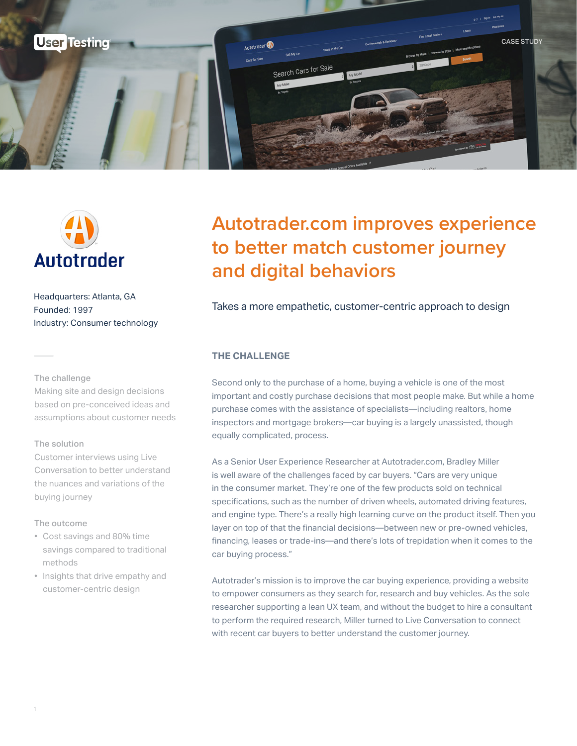



Headquarters: Atlanta, GA Founded: 1997 Industry: Consumer technology

#### The challenge

Making site and design decisions based on pre-conceived ideas and assumptions about customer needs

#### The solution

Customer interviews using Live Conversation to better understand the nuances and variations of the buying journey

#### The outcome

- Cost savings and 80% time savings compared to traditional methods
- Insights that drive empathy and customer-centric design

## **Autotrader.com improves experience to better match customer journey and digital behaviors**

#### Takes a more empathetic, customer-centric approach to design

#### **THE CHALLENGE**

Second only to the purchase of a home, buying a vehicle is one of the most important and costly purchase decisions that most people make. But while a home purchase comes with the assistance of specialists—including realtors, home inspectors and mortgage brokers—car buying is a largely unassisted, though equally complicated, process.

As a Senior User Experience Researcher at Autotrader.com, Bradley Miller is well aware of the challenges faced by car buyers. "Cars are very unique in the consumer market. They're one of the few products sold on technical specifications, such as the number of driven wheels, automated driving features, and engine type. There's a really high learning curve on the product itself. Then you layer on top of that the financial decisions—between new or pre-owned vehicles, financing, leases or trade-ins—and there's lots of trepidation when it comes to the car buying process."

Autotrader's mission is to improve the car buying experience, providing a website to empower consumers as they search for, research and buy vehicles. As the sole researcher supporting a lean UX team, and without the budget to hire a consultant to perform the required research, Miller turned to Live Conversation to connect with recent car buyers to better understand the customer journey.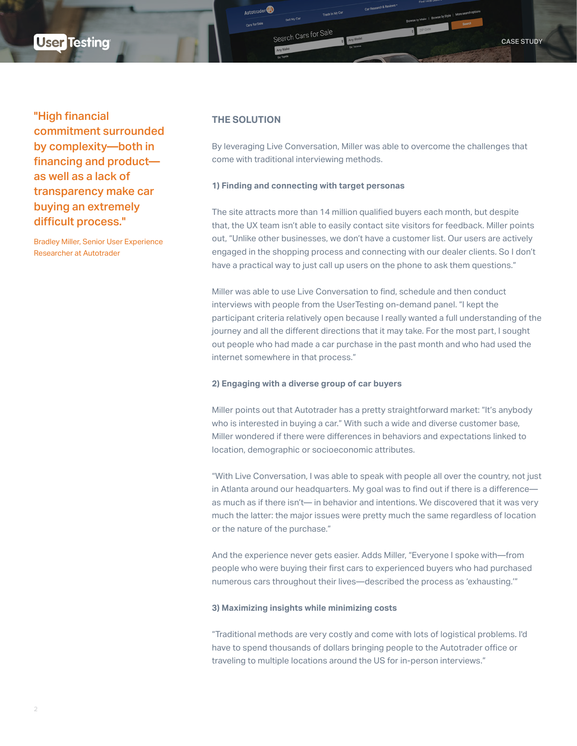## **User Testing**

"High financial commitment surrounded by complexity—both in financing and product as well as a lack of transparency make car buying an extremely difficult process."

Bradley Miller, Senior User Experience Researcher at Autotrader

#### **THE SOLUTION**

Autotrader<sup>®</sup>

By leveraging Live Conversation, Miller was able to overcome the challenges that come with traditional interviewing methods.

#### **1) Finding and connecting with target personas**

Search Cars for Sale

The site attracts more than 14 million qualified buyers each month, but despite that, the UX team isn't able to easily contact site visitors for feedback. Miller points out, "Unlike other businesses, we don't have a customer list. Our users are actively engaged in the shopping process and connecting with our dealer clients. So I don't have a practical way to just call up users on the phone to ask them questions."

Miller was able to use Live Conversation to find, schedule and then conduct interviews with people from the UserTesting on-demand panel. "I kept the participant criteria relatively open because I really wanted a full understanding of the journey and all the different directions that it may take. For the most part, I sought out people who had made a car purchase in the past month and who had used the internet somewhere in that process."

#### **2) Engaging with a diverse group of car buyers**

Miller points out that Autotrader has a pretty straightforward market: "It's anybody who is interested in buying a car." With such a wide and diverse customer base, Miller wondered if there were differences in behaviors and expectations linked to location, demographic or socioeconomic attributes.

"With Live Conversation, I was able to speak with people all over the country, not just in Atlanta around our headquarters. My goal was to find out if there is a difference as much as if there isn't— in behavior and intentions. We discovered that it was very much the latter: the major issues were pretty much the same regardless of location or the nature of the purchase."

And the experience never gets easier. Adds Miller, "Everyone I spoke with—from people who were buying their first cars to experienced buyers who had purchased numerous cars throughout their lives—described the process as 'exhausting.'"

#### **3) Maximizing insights while minimizing costs**

"Traditional methods are very costly and come with lots of logistical problems. I'd have to spend thousands of dollars bringing people to the Autotrader office or traveling to multiple locations around the US for in-person interviews."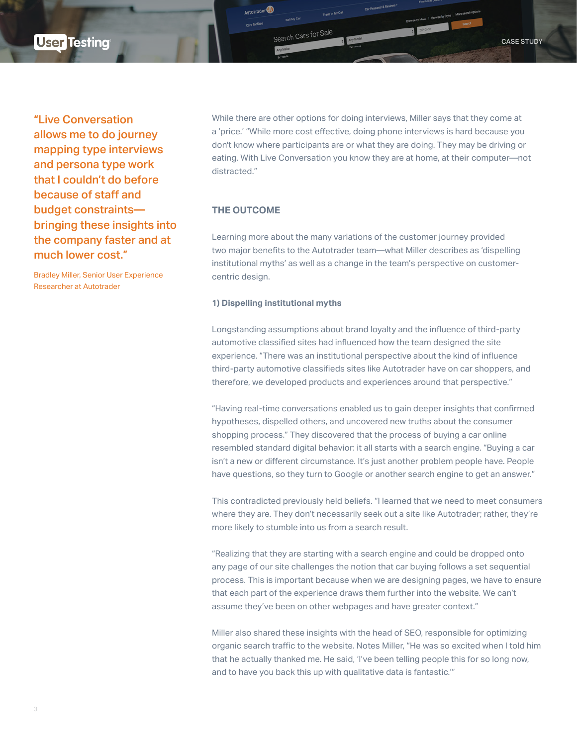"Live Conversation allows me to do journey mapping type interviews and persona type work that I couldn't do before because of staff and budget constraints bringing these insights into the company faster and at much lower cost."

Bradley Miller, Senior User Experience Researcher at Autotrader

While there are other options for doing interviews, Miller says that they come at a 'price.' "While more cost effective, doing phone interviews is hard because you don't know where participants are or what they are doing. They may be driving or eating. With Live Conversation you know they are at home, at their computer—not distracted."

#### **THE OUTCOME**

Autotrader<sup>1</sup>

Search Cars for Sale

Learning more about the many variations of the customer journey provided two major benefits to the Autotrader team—what Miller describes as 'dispelling institutional myths' as well as a change in the team's perspective on customercentric design.

#### **1) Dispelling institutional myths**

Longstanding assumptions about brand loyalty and the influence of third-party automotive classified sites had influenced how the team designed the site experience. "There was an institutional perspective about the kind of influence third-party automotive classifieds sites like Autotrader have on car shoppers, and therefore, we developed products and experiences around that perspective."

"Having real-time conversations enabled us to gain deeper insights that confirmed hypotheses, dispelled others, and uncovered new truths about the consumer shopping process." They discovered that the process of buying a car online resembled standard digital behavior: it all starts with a search engine. "Buying a car isn't a new or different circumstance. It's just another problem people have. People have questions, so they turn to Google or another search engine to get an answer."

This contradicted previously held beliefs. "I learned that we need to meet consumers where they are. They don't necessarily seek out a site like Autotrader; rather, they're more likely to stumble into us from a search result.

"Realizing that they are starting with a search engine and could be dropped onto any page of our site challenges the notion that car buying follows a set sequential process. This is important because when we are designing pages, we have to ensure that each part of the experience draws them further into the website. We can't assume they've been on other webpages and have greater context."

Miller also shared these insights with the head of SEO, responsible for optimizing organic search traffic to the website. Notes Miller, "He was so excited when I told him that he actually thanked me. He said, 'I've been telling people this for so long now, and to have you back this up with qualitative data is fantastic.'"